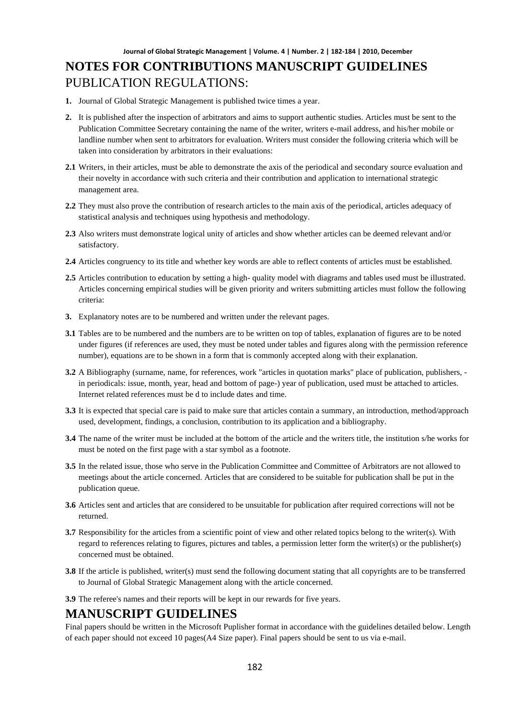- **1.** Journal of Global Strategic Management is published twice times a year.
- **2.** It is published after the inspection of arbitrators and aims to support authentic studies. Articles must be sent to the Publication Committee Secretary containing the name of the writer, writers e-mail address, and his/her mobile or landline number when sent to arbitrators for evaluation. Writers must consider the following criteria which will be taken into consideration by arbitrators in their evaluations:
- **2.1** Writers, in their articles, must be able to demonstrate the axis of the periodical and secondary source evaluation and their novelty in accordance with such criteria and their contribution and application to international strategic management area.
- **2.2** They must also prove the contribution of research articles to the main axis of the periodical, articles adequacy of statistical analysis and techniques using hypothesis and methodology.
- **2.3** Also writers must demonstrate logical unity of articles and show whether articles can be deemed relevant and/or satisfactory.
- **2.4** Articles congruency to its title and whether key words are able to reflect contents of articles must be established.
- **2.5** Articles contribution to education by setting a high- quality model with diagrams and tables used must be illustrated. Articles concerning empirical studies will be given priority and writers submitting articles must follow the following criteria:
- **3.** Explanatory notes are to be numbered and written under the relevant pages.
- **3.1** Tables are to be numbered and the numbers are to be written on top of tables, explanation of figures are to be noted under figures (if references are used, they must be noted under tables and figures along with the permission reference number), equations are to be shown in a form that is commonly accepted along with their explanation.
- **3.2** A Bibliography (surname, name, for references, work "articles in quotation marks" place of publication, publishers, in periodicals: issue, month, year, head and bottom of page-) year of publication, used must be attached to articles. Internet related references must be d to include dates and time.
- **3.3** It is expected that special care is paid to make sure that articles contain a summary, an introduction, method/approach used, development, findings, a conclusion, contribution to its application and a bibliography.
- **3.4** The name of the writer must be included at the bottom of the article and the writers title, the institution s/he works for must be noted on the first page with a star symbol as a footnote.
- **3.5** In the related issue, those who serve in the Publication Committee and Committee of Arbitrators are not allowed to meetings about the article concerned. Articles that are considered to be suitable for publication shall be put in the publication queue.
- **3.6** Articles sent and articles that are considered to be unsuitable for publication after required corrections will not be returned.
- **3.7** Responsibility for the articles from a scientific point of view and other related topics belong to the writer(s). With regard to references relating to figures, pictures and tables, a permission letter form the writer(s) or the publisher(s) concerned must be obtained.
- **3.8** If the article is published, writer(s) must send the following document stating that all copyrights are to be transferred to Journal of Global Strategic Management along with the article concerned.
- **3.9** The referee's names and their reports will be kept in our rewards for five years.

### **MANUSCRIPT GUIDELINES**

Final papers should be written in the Microsoft Puplisher format in accordance with the guidelines detailed below. Length of each paper should not exceed 10 pages(A4 Size paper). Final papers should be sent to us via e-mail.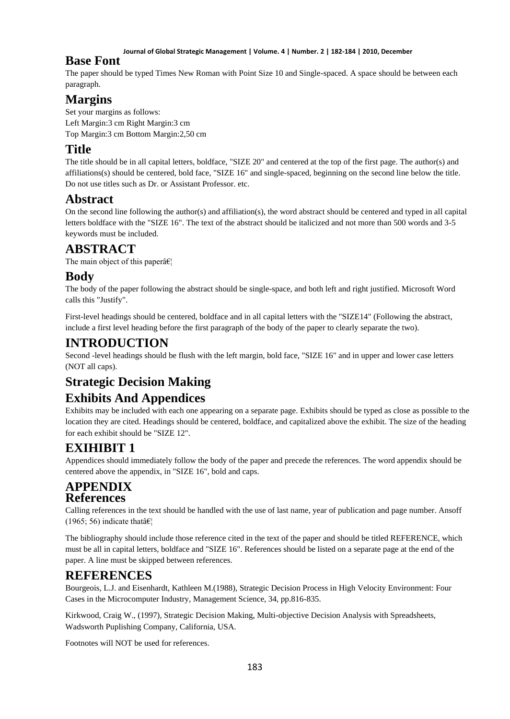#### **Journal of Global Strategic Management | Volume. 4 | Number. 2 | 182-184 | 2010, December**

### **Base Font**

The paper should be typed Times New Roman with Point Size 10 and Single-spaced. A space should be between each paragraph.

# **Margins**

Set your margins as follows: Left Margin:3 cm Right Margin:3 cm Top Margin:3 cm Bottom Margin:2,50 cm

# **Title**

The title should be in all capital letters, boldface, "SIZE 20" and centered at the top of the first page. The author(s) and affiliations(s) should be centered, bold face, "SIZE 16" and single-spaced, beginning on the second line below the title. Do not use titles such as Dr. or Assistant Professor. etc.

## **Abstract**

On the second line following the author(s) and affiliation(s), the word abstract should be centered and typed in all capital letters boldface with the "SIZE 16". The text of the abstract should be italicized and not more than 500 words and 3-5 keywords must be included.

## **ABSTRACT**

The main object of this paper $\hat{a} \in \mathcal{C}_1$ 

## **Body**

The body of the paper following the abstract should be single-space, and both left and right justified. Microsoft Word calls this "Justify".

First-level headings should be centered, boldface and in all capital letters with the "SIZE14" (Following the abstract, include a first level heading before the first paragraph of the body of the paper to clearly separate the two).

## **INTRODUCTION**

Second -level headings should be flush with the left margin, bold face, "SIZE 16" and in upper and lower case letters (NOT all caps).

# **Strategic Decision Making**

# **Exhibits And Appendices**

Exhibits may be included with each one appearing on a separate page. Exhibits should be typed as close as possible to the location they are cited. Headings should be centered, boldface, and capitalized above the exhibit. The size of the heading for each exhibit should be "SIZE 12".

# **EXIHIBIT 1**

Appendices should immediately follow the body of the paper and precede the references. The word appendix should be centered above the appendix, in "SIZE 16", bold and caps.

## **APPENDIX References**

Calling references in the text should be handled with the use of last name, year of publication and page number. Ansoff (1965; 56) indicate that  $\hat{\mathbf{a}} \in \mathbb{R}^n$ 

The bibliography should include those reference cited in the text of the paper and should be titled REFERENCE, which must be all in capital letters, boldface and "SIZE 16". References should be listed on a separate page at the end of the paper. A line must be skipped between references.

# **REFERENCES**

Bourgeois, L.J. and Eisenhardt, Kathleen M.(1988), Strategic Decision Process in High Velocity Environment: Four Cases in the Microcomputer Industry, Management Science, 34, pp.816-835.

Kirkwood, Craig W., (1997), Strategic Decision Making, Multi-objective Decision Analysis with Spreadsheets, Wadsworth Puplishing Company, California, USA.

Footnotes will NOT be used for references.